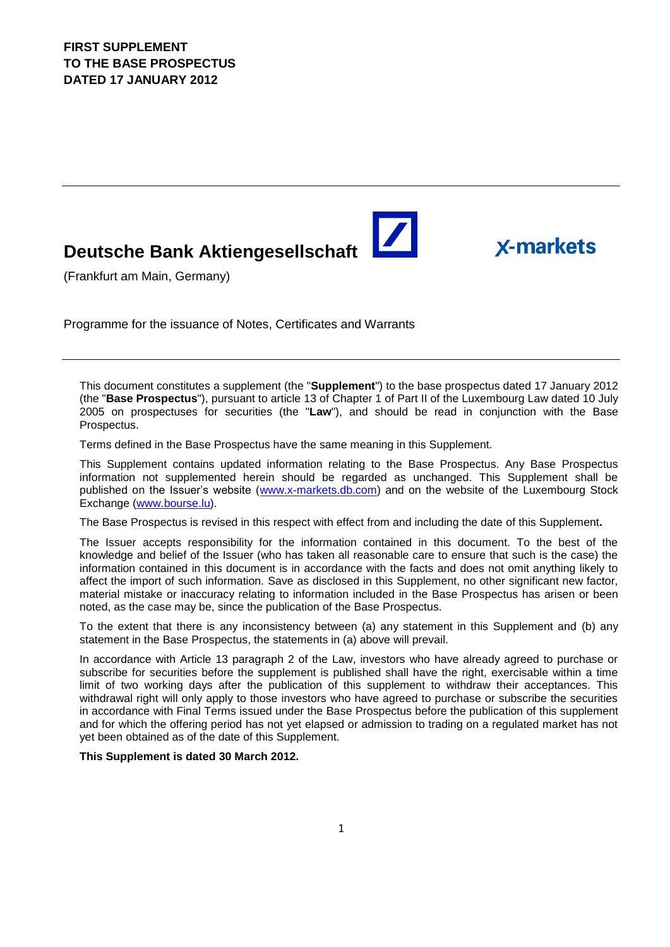# **Deutsche Bank Aktiengesellschaft**

(Frankfurt am Main, Germany)

Programme for the issuance of Notes, Certificates and Warrants

This document constitutes a supplement (the "**Supplement**") to the base prospectus dated 17 January 2012 (the "**Base Prospectus**"), pursuant to article 13 of Chapter 1 of Part II of the Luxembourg Law dated 10 July 2005 on prospectuses for securities (the "**Law**"), and should be read in conjunction with the Base Prospectus.

 $\blacktriangleright$ 

**X-markets** 

Terms defined in the Base Prospectus have the same meaning in this Supplement.

This Supplement contains updated information relating to the Base Prospectus. Any Base Prospectus information not supplemented herein should be regarded as unchanged. This Supplement shall be published on the Issuer's website [\(www.x-markets.db.com\)](http://www.x-markets.db.com/) and on the website of the Luxembourg Stock Exchange (www.bourse.lu).

The Base Prospectus is revised in this respect with effect from and including the date of this Supplement**.**

The Issuer accepts responsibility for the information contained in this document. To the best of the knowledge and belief of the Issuer (who has taken all reasonable care to ensure that such is the case) the information contained in this document is in accordance with the facts and does not omit anything likely to affect the import of such information. Save as disclosed in this Supplement, no other significant new factor, material mistake or inaccuracy relating to information included in the Base Prospectus has arisen or been noted, as the case may be, since the publication of the Base Prospectus.

To the extent that there is any inconsistency between (a) any statement in this Supplement and (b) any statement in the Base Prospectus, the statements in (a) above will prevail.

In accordance with Article 13 paragraph 2 of the Law, investors who have already agreed to purchase or subscribe for securities before the supplement is published shall have the right, exercisable within a time limit of two working days after the publication of this supplement to withdraw their acceptances. This withdrawal right will only apply to those investors who have agreed to purchase or subscribe the securities in accordance with Final Terms issued under the Base Prospectus before the publication of this supplement and for which the offering period has not yet elapsed or admission to trading on a regulated market has not yet been obtained as of the date of this Supplement.

#### **This Supplement is dated 30 March 2012.**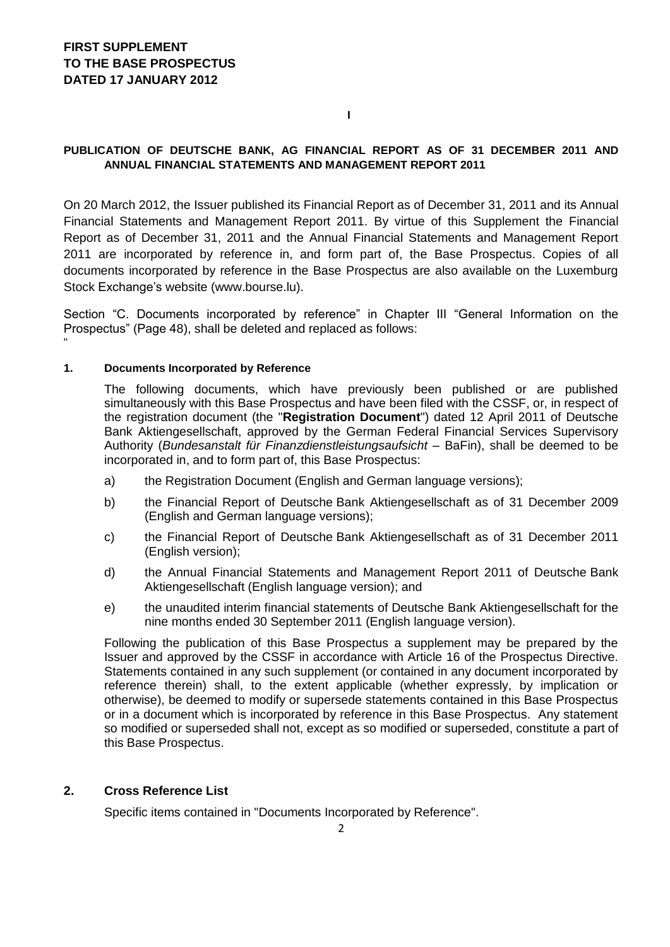**I**

### **PUBLICATION OF DEUTSCHE BANK, AG FINANCIAL REPORT AS OF 31 DECEMBER 2011 AND ANNUAL FINANCIAL STATEMENTS AND MANAGEMENT REPORT 2011**

On 20 March 2012, the Issuer published its Financial Report as of December 31, 2011 and its Annual Financial Statements and Management Report 2011. By virtue of this Supplement the Financial Report as of December 31, 2011 and the Annual Financial Statements and Management Report 2011 are incorporated by reference in, and form part of, the Base Prospectus. Copies of all documents incorporated by reference in the Base Prospectus are also available on the Luxemburg Stock Exchange's website (www.bourse.lu).

Section "C. Documents incorporated by reference" in Chapter III "General Information on the Prospectus" (Page 48), shall be deleted and replaced as follows:

#### **1. Documents Incorporated by Reference**

"

The following documents, which have previously been published or are published simultaneously with this Base Prospectus and have been filed with the CSSF, or, in respect of the registration document (the "**Registration Document**") dated 12 April 2011 of Deutsche Bank Aktiengesellschaft, approved by the German Federal Financial Services Supervisory Authority (*Bundesanstalt für Finanzdienstleistungsaufsicht –* BaFin), shall be deemed to be incorporated in, and to form part of, this Base Prospectus:

- a) the Registration Document (English and German language versions);
- b) the Financial Report of Deutsche Bank Aktiengesellschaft as of 31 December 2009 (English and German language versions);
- c) the Financial Report of Deutsche Bank Aktiengesellschaft as of 31 December 2011 (English version);
- d) the Annual Financial Statements and Management Report 2011 of Deutsche Bank Aktiengesellschaft (English language version); and
- e) the unaudited interim financial statements of Deutsche Bank Aktiengesellschaft for the nine months ended 30 September 2011 (English language version).

Following the publication of this Base Prospectus a supplement may be prepared by the Issuer and approved by the CSSF in accordance with Article 16 of the Prospectus Directive. Statements contained in any such supplement (or contained in any document incorporated by reference therein) shall, to the extent applicable (whether expressly, by implication or otherwise), be deemed to modify or supersede statements contained in this Base Prospectus or in a document which is incorporated by reference in this Base Prospectus. Any statement so modified or superseded shall not, except as so modified or superseded, constitute a part of this Base Prospectus.

#### **2. Cross Reference List**

Specific items contained in "Documents Incorporated by Reference".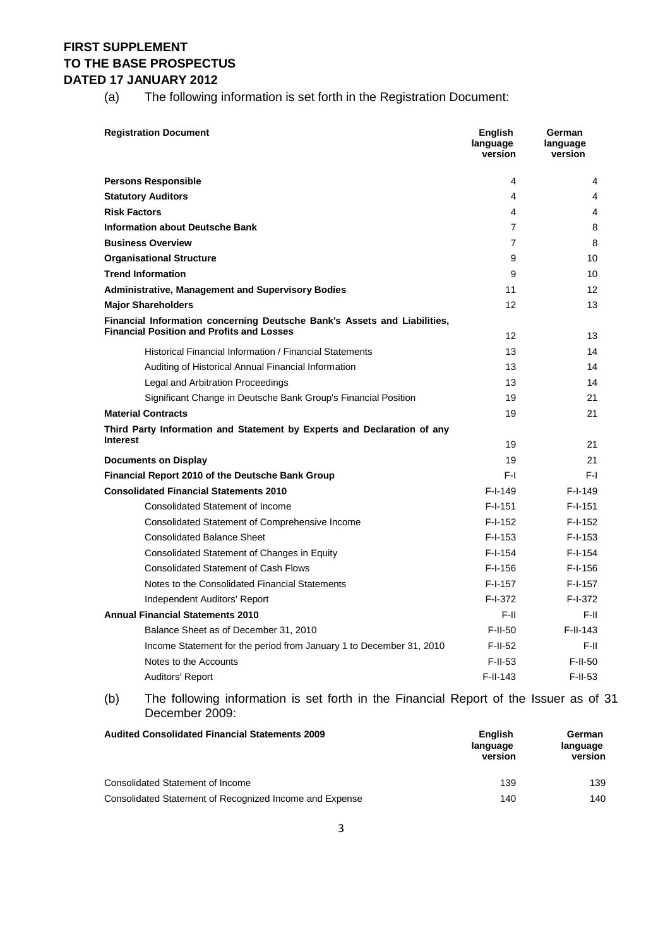(a) The following information is set forth in the Registration Document:

| <b>Registration Document</b>                                                                                                 | <b>English</b><br>language<br>version | German<br>language<br>version |
|------------------------------------------------------------------------------------------------------------------------------|---------------------------------------|-------------------------------|
| <b>Persons Responsible</b>                                                                                                   | 4                                     | 4                             |
| <b>Statutory Auditors</b>                                                                                                    | 4                                     | 4                             |
| <b>Risk Factors</b>                                                                                                          | 4                                     | 4                             |
| <b>Information about Deutsche Bank</b>                                                                                       | $\overline{7}$                        | 8                             |
| <b>Business Overview</b>                                                                                                     | $\overline{7}$                        | 8                             |
| <b>Organisational Structure</b>                                                                                              | 9                                     | 10                            |
| <b>Trend Information</b>                                                                                                     | 9                                     | 10                            |
| <b>Administrative, Management and Supervisory Bodies</b>                                                                     | 11                                    | 12 <sup>2</sup>               |
| <b>Major Shareholders</b>                                                                                                    | 12                                    | 13                            |
| Financial Information concerning Deutsche Bank's Assets and Liabilities,<br><b>Financial Position and Profits and Losses</b> | 12                                    | 13                            |
| Historical Financial Information / Financial Statements                                                                      | 13                                    | 14                            |
| Auditing of Historical Annual Financial Information                                                                          | 13                                    | 14                            |
| Legal and Arbitration Proceedings                                                                                            | 13                                    | 14                            |
| Significant Change in Deutsche Bank Group's Financial Position                                                               | 19                                    | 21                            |
| <b>Material Contracts</b>                                                                                                    | 19                                    | 21                            |
| Third Party Information and Statement by Experts and Declaration of any                                                      |                                       |                               |
| <b>Interest</b>                                                                                                              | 19                                    | 21                            |
| <b>Documents on Display</b>                                                                                                  | 19                                    | 21                            |
| Financial Report 2010 of the Deutsche Bank Group                                                                             | F-L                                   | F-I.                          |
| <b>Consolidated Financial Statements 2010</b>                                                                                | $F-I-149$                             | $F-I-149$                     |
| <b>Consolidated Statement of Income</b>                                                                                      | F-I-151                               | $F-I-151$                     |
| <b>Consolidated Statement of Comprehensive Income</b>                                                                        | $F-I-152$                             | $F-I-152$                     |
| <b>Consolidated Balance Sheet</b>                                                                                            | $F-I-153$                             | $F-I-153$                     |
| Consolidated Statement of Changes in Equity                                                                                  | F-I-154                               | $F-I-154$                     |
| <b>Consolidated Statement of Cash Flows</b>                                                                                  | F-I-156                               | $F-I-156$                     |
| Notes to the Consolidated Financial Statements                                                                               | F-I-157                               | $F-I-157$                     |
| Independent Auditors' Report                                                                                                 | F-I-372                               | F-I-372                       |
| <b>Annual Financial Statements 2010</b>                                                                                      | F-II.                                 | F-II.                         |
| Balance Sheet as of December 31, 2010                                                                                        | $F-II-50$                             | $F-II-143$                    |
| Income Statement for the period from January 1 to December 31, 2010                                                          | $F-II-52$                             | $F-II$                        |
| Notes to the Accounts                                                                                                        | $F$ -II-53                            | $F-II-50$                     |
| <b>Auditors' Report</b>                                                                                                      | $F-I-I-143$                           | $F-II-53$                     |

(b) The following information is set forth in the Financial Report of the Issuer as of 31 December 2009:

| <b>Audited Consolidated Financial Statements 2009</b>   | <b>English</b><br>language<br>version | German<br>language<br>version |
|---------------------------------------------------------|---------------------------------------|-------------------------------|
| Consolidated Statement of Income                        | 139                                   | 139                           |
| Consolidated Statement of Recognized Income and Expense | 140                                   | 140                           |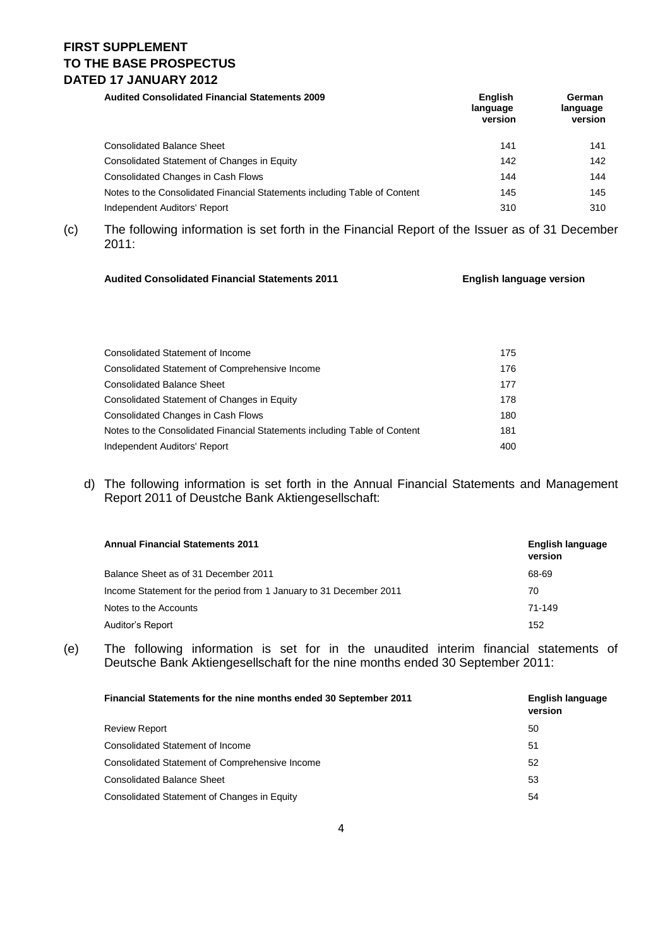**Audited Consolidated Financial Statements 2009 English** 

| <b>Audited Consolidated Financial Statements 2009</b>                     | <b>English</b><br>language<br>version | German<br>language<br>version |
|---------------------------------------------------------------------------|---------------------------------------|-------------------------------|
| <b>Consolidated Balance Sheet</b>                                         | 141                                   | 141                           |
| Consolidated Statement of Changes in Equity                               | 142                                   | 142                           |
| Consolidated Changes in Cash Flows                                        | 144                                   | 144                           |
| Notes to the Consolidated Financial Statements including Table of Content | 145                                   | 145                           |
| Independent Auditors' Report                                              | 310                                   | 310                           |

(c) The following information is set forth in the Financial Report of the Issuer as of 31 December 2011:

#### **Audited Consolidated Financial Statements 2011 English language version**

| Consolidated Statement of Income                                          | 175 |
|---------------------------------------------------------------------------|-----|
| <b>Consolidated Statement of Comprehensive Income</b>                     | 176 |
| <b>Consolidated Balance Sheet</b>                                         | 177 |
| Consolidated Statement of Changes in Equity                               | 178 |
| <b>Consolidated Changes in Cash Flows</b>                                 | 180 |
| Notes to the Consolidated Financial Statements including Table of Content | 181 |
| Independent Auditors' Report                                              | 400 |

### d) The following information is set forth in the Annual Financial Statements and Management Report 2011 of Deustche Bank Aktiengesellschaft:

| <b>Annual Financial Statements 2011</b>                            | English language<br>version |
|--------------------------------------------------------------------|-----------------------------|
| Balance Sheet as of 31 December 2011                               | 68-69                       |
| Income Statement for the period from 1 January to 31 December 2011 | 70                          |
| Notes to the Accounts                                              | 71-149                      |
| Auditor's Report                                                   | 152                         |

(e) The following information is set for in the unaudited interim financial statements of Deutsche Bank Aktiengesellschaft for the nine months ended 30 September 2011:

| Financial Statements for the nine months ended 30 September 2011 | <b>English language</b><br>version |
|------------------------------------------------------------------|------------------------------------|
| <b>Review Report</b>                                             | 50                                 |
| Consolidated Statement of Income                                 | 51                                 |
| Consolidated Statement of Comprehensive Income                   | 52                                 |
| <b>Consolidated Balance Sheet</b>                                | 53                                 |
| Consolidated Statement of Changes in Equity                      | 54                                 |
|                                                                  |                                    |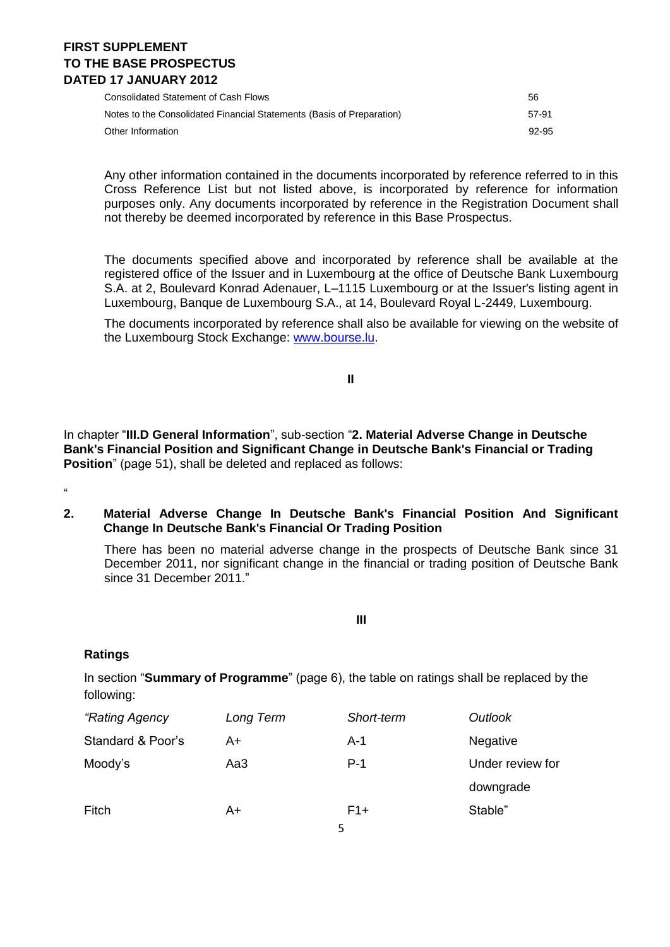Consolidated Statement of Cash Flows 56

| Notes to the Consolidated Financial Statements (Basis of Preparation) | 57-91 |
|-----------------------------------------------------------------------|-------|
| Other Information                                                     | 92-95 |

Any other information contained in the documents incorporated by reference referred to in this Cross Reference List but not listed above, is incorporated by reference for information purposes only. Any documents incorporated by reference in the Registration Document shall not thereby be deemed incorporated by reference in this Base Prospectus.

The documents specified above and incorporated by reference shall be available at the registered office of the Issuer and in Luxembourg at the office of Deutsche Bank Luxembourg S.A. at 2, Boulevard Konrad Adenauer, L–1115 Luxembourg or at the Issuer's listing agent in Luxembourg, Banque de Luxembourg S.A., at 14, Boulevard Royal L-2449, Luxembourg.

The documents incorporated by reference shall also be available for viewing on the website of the Luxembourg Stock Exchange: [www.bourse.lu.](http://www.bourse.lu/)

**II**

In chapter "**III.D General Information**", sub-section "**2. Material Adverse Change in Deutsche Bank's Financial Position and Significant Change in Deutsche Bank's Financial or Trading Position**" (page 51), shall be deleted and replaced as follows:

# "

#### **2. Material Adverse Change In Deutsche Bank's Financial Position And Significant Change In Deutsche Bank's Financial Or Trading Position**

There has been no material adverse change in the prospects of Deutsche Bank since 31 December 2011, nor significant change in the financial or trading position of Deutsche Bank since 31 December 2011."

**III**

### **Ratings**

In section "**Summary of Programme**" (page 6), the table on ratings shall be replaced by the following:

| "Rating Agency    | Long Term | Short-term | Outlook          |
|-------------------|-----------|------------|------------------|
| Standard & Poor's | A+        | $A-1$      | Negative         |
| Moody's           | Aa3       | $P-1$      | Under review for |
|                   |           |            | downgrade        |
| Fitch             | A+        | $F1+$      | Stable"          |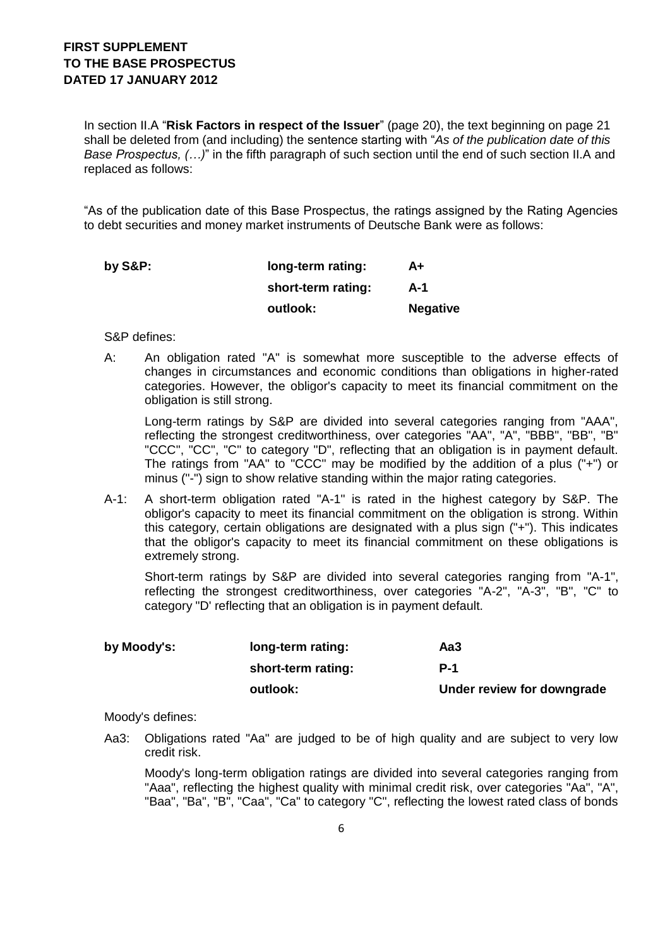In section II.A "**Risk Factors in respect of the Issuer**" (page 20), the text beginning on page 21 shall be deleted from (and including) the sentence starting with "*As of the publication date of this Base Prospectus, (…)*" in the fifth paragraph of such section until the end of such section II.A and replaced as follows:

"As of the publication date of this Base Prospectus, the ratings assigned by the Rating Agencies to debt securities and money market instruments of Deutsche Bank were as follows:

| by $S\&P$ : | long-term rating:  | A+              |
|-------------|--------------------|-----------------|
|             | short-term rating: | A-1             |
|             | outlook:           | <b>Negative</b> |

S&P defines:

A: An obligation rated "A" is somewhat more susceptible to the adverse effects of changes in circumstances and economic conditions than obligations in higher-rated categories. However, the obligor's capacity to meet its financial commitment on the obligation is still strong.

Long-term ratings by S&P are divided into several categories ranging from "AAA", reflecting the strongest creditworthiness, over categories "AA", "A", "BBB", "BB", "B" "CCC", "CC", "C" to category "D", reflecting that an obligation is in payment default. The ratings from "AA" to "CCC" may be modified by the addition of a plus ("+") or minus ("-") sign to show relative standing within the major rating categories.

A-1: A short-term obligation rated "A-1" is rated in the highest category by S&P. The obligor's capacity to meet its financial commitment on the obligation is strong. Within this category, certain obligations are designated with a plus sign ("+"). This indicates that the obligor's capacity to meet its financial commitment on these obligations is extremely strong.

Short-term ratings by S&P are divided into several categories ranging from "A-1", reflecting the strongest creditworthiness, over categories "A-2", "A-3", "B", "C" to category "D' reflecting that an obligation is in payment default.

| by Moody's: | long-term rating:  | Aa3                        |
|-------------|--------------------|----------------------------|
|             | short-term rating: | <b>P-1</b>                 |
|             | outlook:           | Under review for downgrade |

Moody's defines:

Aa3: Obligations rated "Aa" are judged to be of high quality and are subject to very low credit risk.

Moody's long-term obligation ratings are divided into several categories ranging from "Aaa", reflecting the highest quality with minimal credit risk, over categories "Aa", "A", "Baa", "Ba", "B", "Caa", "Ca" to category "C", reflecting the lowest rated class of bonds